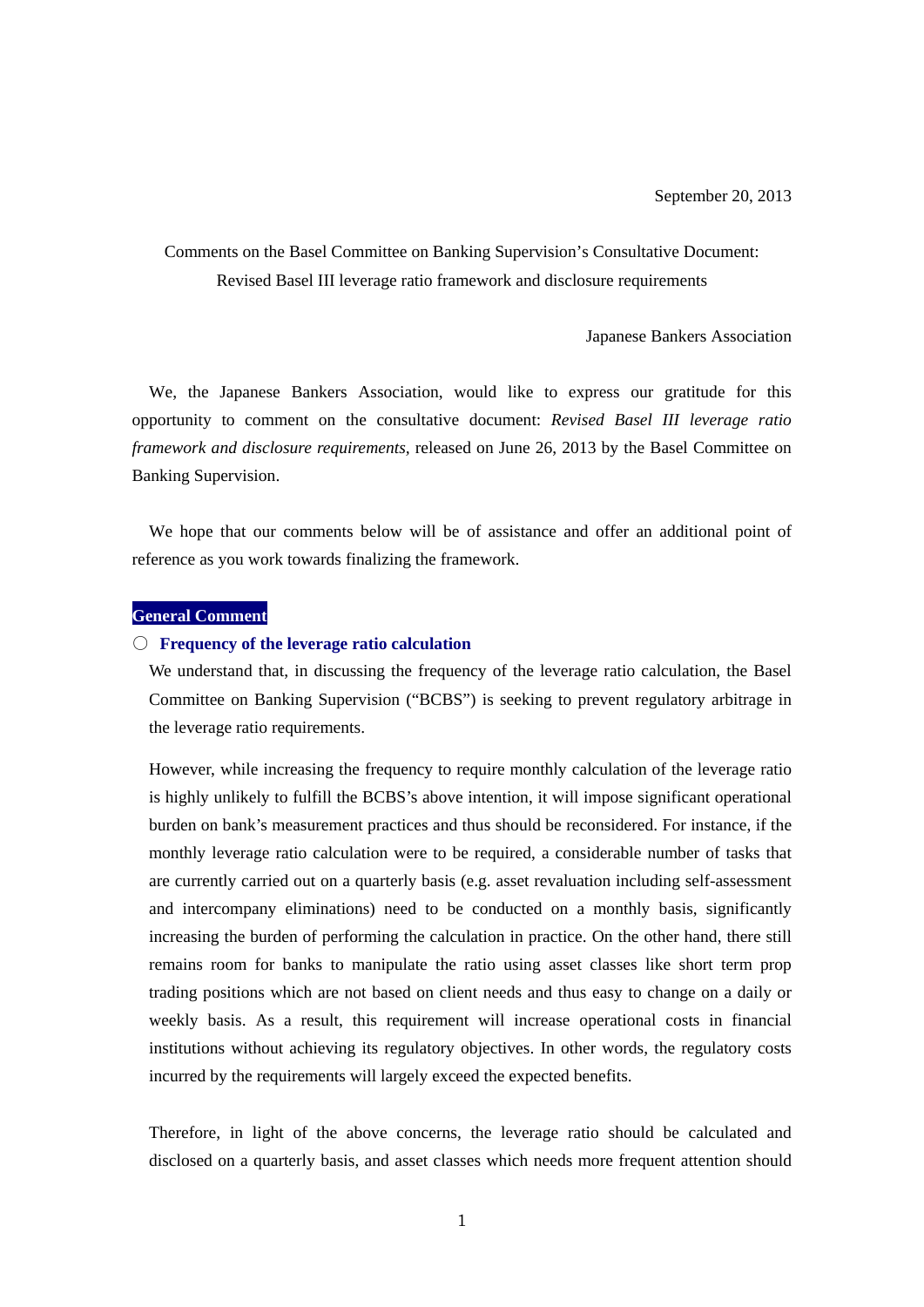# Comments on the Basel Committee on Banking Supervision's Consultative Document: Revised Basel III leverage ratio framework and disclosure requirements

Japanese Bankers Association

We, the Japanese Bankers Association, would like to express our gratitude for this opportunity to comment on the consultative document: *Revised Basel III leverage ratio framework and disclosure requirements,* released on June 26, 2013 by the Basel Committee on Banking Supervision.

We hope that our comments below will be of assistance and offer an additional point of reference as you work towards finalizing the framework.

## **General Comment**

#### ○ **Frequency of the leverage ratio calculation**

We understand that, in discussing the frequency of the leverage ratio calculation, the Basel Committee on Banking Supervision ("BCBS") is seeking to prevent regulatory arbitrage in the leverage ratio requirements.

However, while increasing the frequency to require monthly calculation of the leverage ratio is highly unlikely to fulfill the BCBS's above intention, it will impose significant operational burden on bank's measurement practices and thus should be reconsidered. For instance, if the monthly leverage ratio calculation were to be required, a considerable number of tasks that are currently carried out on a quarterly basis (e.g. asset revaluation including self-assessment and intercompany eliminations) need to be conducted on a monthly basis, significantly increasing the burden of performing the calculation in practice. On the other hand, there still remains room for banks to manipulate the ratio using asset classes like short term prop trading positions which are not based on client needs and thus easy to change on a daily or weekly basis. As a result, this requirement will increase operational costs in financial institutions without achieving its regulatory objectives. In other words, the regulatory costs incurred by the requirements will largely exceed the expected benefits.

Therefore, in light of the above concerns, the leverage ratio should be calculated and disclosed on a quarterly basis, and asset classes which needs more frequent attention should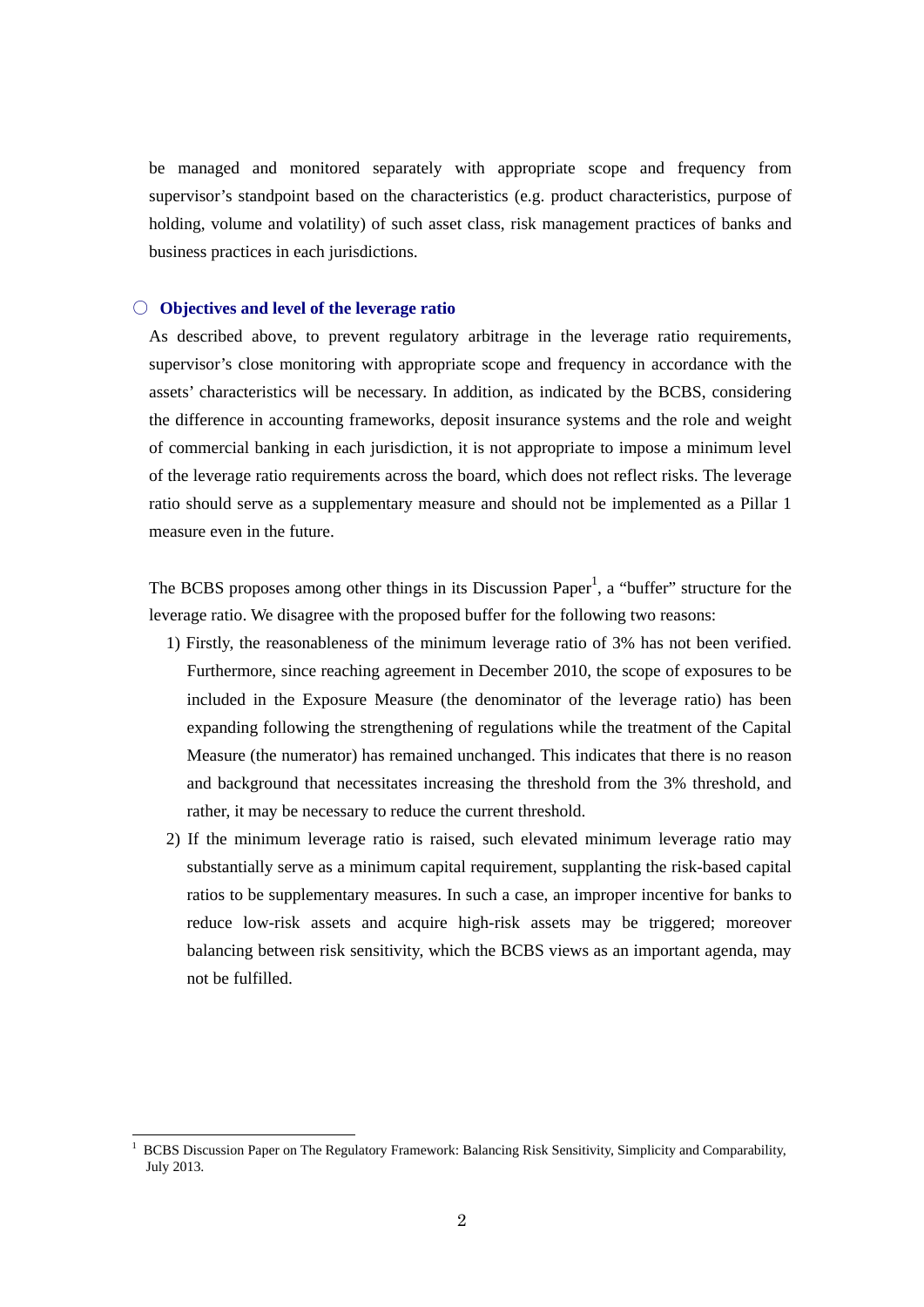be managed and monitored separately with appropriate scope and frequency from supervisor's standpoint based on the characteristics (e.g. product characteristics, purpose of holding, volume and volatility) of such asset class, risk management practices of banks and business practices in each jurisdictions.

### ○ **Objectives and level of the leverage ratio**

1

As described above, to prevent regulatory arbitrage in the leverage ratio requirements, supervisor's close monitoring with appropriate scope and frequency in accordance with the assets' characteristics will be necessary. In addition, as indicated by the BCBS, considering the difference in accounting frameworks, deposit insurance systems and the role and weight of commercial banking in each jurisdiction, it is not appropriate to impose a minimum level of the leverage ratio requirements across the board, which does not reflect risks. The leverage ratio should serve as a supplementary measure and should not be implemented as a Pillar 1 measure even in the future.

The BCBS proposes among other things in its Discussion Paper<sup>1</sup>, a "buffer" structure for the leverage ratio. We disagree with the proposed buffer for the following two reasons:

- 1) Firstly, the reasonableness of the minimum leverage ratio of 3% has not been verified. Furthermore, since reaching agreement in December 2010, the scope of exposures to be included in the Exposure Measure (the denominator of the leverage ratio) has been expanding following the strengthening of regulations while the treatment of the Capital Measure (the numerator) has remained unchanged. This indicates that there is no reason and background that necessitates increasing the threshold from the 3% threshold, and rather, it may be necessary to reduce the current threshold.
- 2) If the minimum leverage ratio is raised, such elevated minimum leverage ratio may substantially serve as a minimum capital requirement, supplanting the risk-based capital ratios to be supplementary measures. In such a case, an improper incentive for banks to reduce low-risk assets and acquire high-risk assets may be triggered; moreover balancing between risk sensitivity, which the BCBS views as an important agenda, may not be fulfilled.

<sup>1</sup> BCBS Discussion Paper on The Regulatory Framework: Balancing Risk Sensitivity, Simplicity and Comparability, July 2013.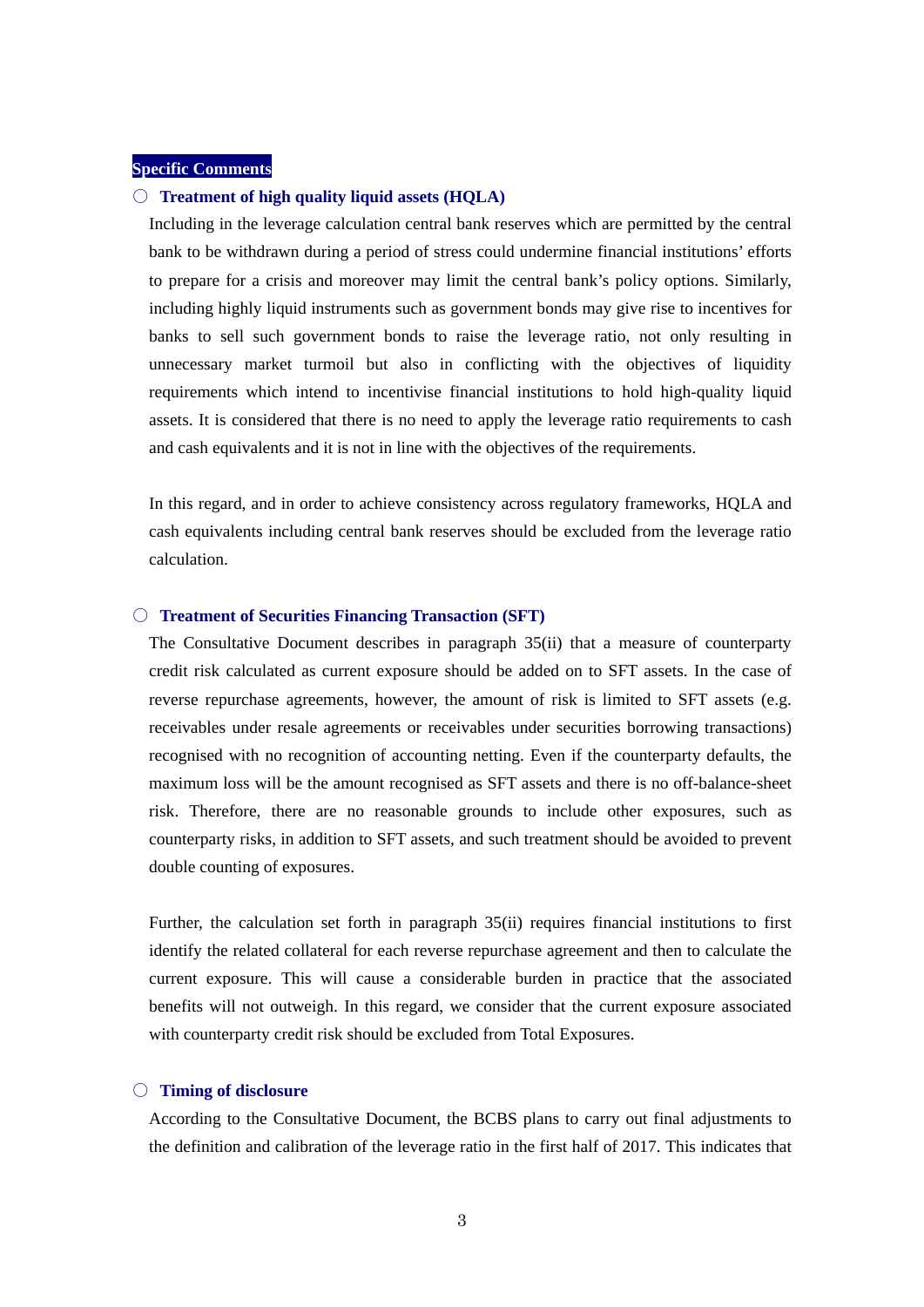# **Specific Comments**

## ○ **Treatment of high quality liquid assets (HQLA)**

Including in the leverage calculation central bank reserves which are permitted by the central bank to be withdrawn during a period of stress could undermine financial institutions' efforts to prepare for a crisis and moreover may limit the central bank's policy options. Similarly, including highly liquid instruments such as government bonds may give rise to incentives for banks to sell such government bonds to raise the leverage ratio, not only resulting in unnecessary market turmoil but also in conflicting with the objectives of liquidity requirements which intend to incentivise financial institutions to hold high-quality liquid assets. It is considered that there is no need to apply the leverage ratio requirements to cash and cash equivalents and it is not in line with the objectives of the requirements.

In this regard, and in order to achieve consistency across regulatory frameworks, HQLA and cash equivalents including central bank reserves should be excluded from the leverage ratio calculation.

### ○ **Treatment of Securities Financing Transaction (SFT)**

The Consultative Document describes in paragraph 35(ii) that a measure of counterparty credit risk calculated as current exposure should be added on to SFT assets. In the case of reverse repurchase agreements, however, the amount of risk is limited to SFT assets (e.g. receivables under resale agreements or receivables under securities borrowing transactions) recognised with no recognition of accounting netting. Even if the counterparty defaults, the maximum loss will be the amount recognised as SFT assets and there is no off-balance-sheet risk. Therefore, there are no reasonable grounds to include other exposures, such as counterparty risks, in addition to SFT assets, and such treatment should be avoided to prevent double counting of exposures.

Further, the calculation set forth in paragraph 35(ii) requires financial institutions to first identify the related collateral for each reverse repurchase agreement and then to calculate the current exposure. This will cause a considerable burden in practice that the associated benefits will not outweigh. In this regard, we consider that the current exposure associated with counterparty credit risk should be excluded from Total Exposures.

### ○ **Timing of disclosure**

According to the Consultative Document, the BCBS plans to carry out final adjustments to the definition and calibration of the leverage ratio in the first half of 2017. This indicates that